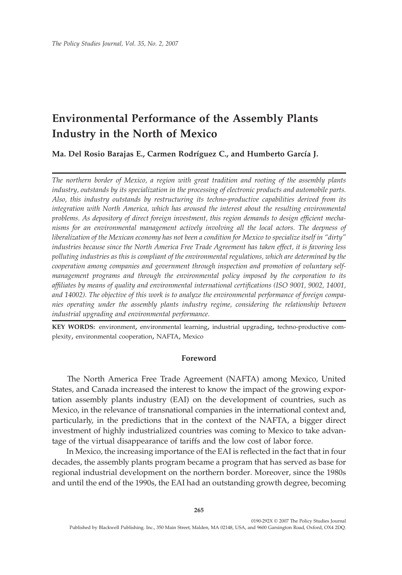# **Environmental Performance of the Assembly Plants Industry in the North of Mexico**

**Ma. Del Rosio Barajas E., Carmen Rodríguez C., and Humberto García J.**

*The northern border of Mexico, a region with great tradition and rooting of the assembly plants industry, outstands by its specialization in the processing of electronic products and automobile parts. Also, this industry outstands by restructuring its techno-productive capabilities derived from its integration with North America, which has aroused the interest about the resulting environmental problems. As depository of direct foreign investment, this region demands to design efficient mechanisms for an environmental management actively involving all the local actors. The deepness of liberalization of the Mexican economy has not been a condition for Mexico to specialize itself in "dirty" industries because since the North America Free Trade Agreement has taken effect, it is favoring less polluting industries as this is compliant of the environmental regulations, which are determined by the cooperation among companies and government through inspection and promotion of voluntary selfmanagement programs and through the environmental policy imposed by the corporation to its affiliates by means of quality and environmental international certifications (ISO 9001, 9002, 14001, and 14002). The objective of this work is to analyze the environmental performance of foreign companies operating under the assembly plants industry regime, considering the relationship between industrial upgrading and environmental performance.*

**KEY WORDS:** environment, environmental learning, industrial upgrading, techno-productive complexity, environmental cooperation, NAFTA, Mexico

#### **Foreword**

The North America Free Trade Agreement (NAFTA) among Mexico, United States, and Canada increased the interest to know the impact of the growing exportation assembly plants industry (EAI) on the development of countries, such as Mexico, in the relevance of transnational companies in the international context and, particularly, in the predictions that in the context of the NAFTA, a bigger direct investment of highly industrialized countries was coming to Mexico to take advantage of the virtual disappearance of tariffs and the low cost of labor force.

In Mexico, the increasing importance of the EAI is reflected in the fact that in four decades, the assembly plants program became a program that has served as base for regional industrial development on the northern border. Moreover, since the 1980s and until the end of the 1990s, the EAI had an outstanding growth degree, becoming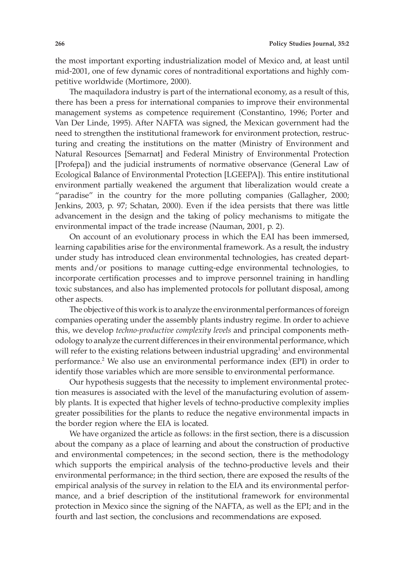the most important exporting industrialization model of Mexico and, at least until mid-2001, one of few dynamic cores of nontraditional exportations and highly competitive worldwide (Mortimore, 2000).

The maquiladora industry is part of the international economy, as a result of this, there has been a press for international companies to improve their environmental management systems as competence requirement (Constantino, 1996; Porter and Van Der Linde, 1995). After NAFTA was signed, the Mexican government had the need to strengthen the institutional framework for environment protection, restructuring and creating the institutions on the matter (Ministry of Environment and Natural Resources [Semarnat] and Federal Ministry of Environmental Protection [Profepa]) and the judicial instruments of normative observance (General Law of Ecological Balance of Environmental Protection [LGEEPA]). This entire institutional environment partially weakened the argument that liberalization would create a "paradise" in the country for the more polluting companies (Gallagher, 2000; Jenkins, 2003, p. 97; Schatan, 2000). Even if the idea persists that there was little advancement in the design and the taking of policy mechanisms to mitigate the environmental impact of the trade increase (Nauman, 2001, p. 2).

On account of an evolutionary process in which the EAI has been immersed, learning capabilities arise for the environmental framework. As a result, the industry under study has introduced clean environmental technologies, has created departments and/or positions to manage cutting-edge environmental technologies, to incorporate certification processes and to improve personnel training in handling toxic substances, and also has implemented protocols for pollutant disposal, among other aspects.

The objective of this work is to analyze the environmental performances of foreign companies operating under the assembly plants industry regime. In order to achieve this, we develop *techno-productive complexity levels* and principal components methodology to analyze the current differences in their environmental performance, which will refer to the existing relations between industrial upgrading<sup>1</sup> and environmental performance.2 We also use an environmental performance index (EPI) in order to identify those variables which are more sensible to environmental performance.

Our hypothesis suggests that the necessity to implement environmental protection measures is associated with the level of the manufacturing evolution of assembly plants. It is expected that higher levels of techno-productive complexity implies greater possibilities for the plants to reduce the negative environmental impacts in the border region where the EIA is located.

We have organized the article as follows: in the first section, there is a discussion about the company as a place of learning and about the construction of productive and environmental competences; in the second section, there is the methodology which supports the empirical analysis of the techno-productive levels and their environmental performance; in the third section, there are exposed the results of the empirical analysis of the survey in relation to the EIA and its environmental performance, and a brief description of the institutional framework for environmental protection in Mexico since the signing of the NAFTA, as well as the EPI; and in the fourth and last section, the conclusions and recommendations are exposed.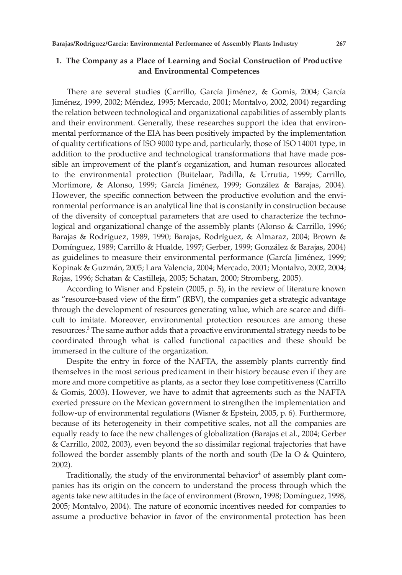## **1. The Company as a Place of Learning and Social Construction of Productive and Environmental Competences**

There are several studies (Carrillo, García Jiménez, & Gomis, 2004; García Jiménez, 1999, 2002; Méndez, 1995; Mercado, 2001; Montalvo, 2002, 2004) regarding the relation between technological and organizational capabilities of assembly plants and their environment. Generally, these researches support the idea that environmental performance of the EIA has been positively impacted by the implementation of quality certifications of ISO 9000 type and, particularly, those of ISO 14001 type, in addition to the productive and technological transformations that have made possible an improvement of the plant's organization, and human resources allocated to the environmental protection (Buitelaar, Padilla, & Urrutia, 1999; Carrillo, Mortimore, & Alonso, 1999; García Jiménez, 1999; González & Barajas, 2004). However, the specific connection between the productive evolution and the environmental performance is an analytical line that is constantly in construction because of the diversity of conceptual parameters that are used to characterize the technological and organizational change of the assembly plants (Alonso & Carrillo, 1996; Barajas & Rodríguez, 1989, 1990; Barajas, Rodríguez, & Almaraz, 2004; Brown & Domínguez, 1989; Carrillo & Hualde, 1997; Gerber, 1999; González & Barajas, 2004) as guidelines to measure their environmental performance (García Jiménez, 1999; Kopinak & Guzmán, 2005; Lara Valencia, 2004; Mercado, 2001; Montalvo, 2002, 2004; Rojas, 1996; Schatan & Castilleja, 2005; Schatan, 2000; Stromberg, 2005).

According to Wisner and Epstein (2005, p. 5), in the review of literature known as "resource-based view of the firm" (RBV), the companies get a strategic advantage through the development of resources generating value, which are scarce and difficult to imitate. Moreover, environmental protection resources are among these resources.<sup>3</sup> The same author adds that a proactive environmental strategy needs to be coordinated through what is called functional capacities and these should be immersed in the culture of the organization.

Despite the entry in force of the NAFTA, the assembly plants currently find themselves in the most serious predicament in their history because even if they are more and more competitive as plants, as a sector they lose competitiveness (Carrillo & Gomis, 2003). However, we have to admit that agreements such as the NAFTA exerted pressure on the Mexican government to strengthen the implementation and follow-up of environmental regulations (Wisner & Epstein, 2005, p. 6). Furthermore, because of its heterogeneity in their competitive scales, not all the companies are equally ready to face the new challenges of globalization (Barajas et al., 2004; Gerber & Carrillo, 2002, 2003), even beyond the so dissimilar regional trajectories that have followed the border assembly plants of the north and south (De la O & Quintero, 2002).

Traditionally, the study of the environmental behavior<sup>4</sup> of assembly plant companies has its origin on the concern to understand the process through which the agents take new attitudes in the face of environment (Brown, 1998; Domínguez, 1998, 2005; Montalvo, 2004). The nature of economic incentives needed for companies to assume a productive behavior in favor of the environmental protection has been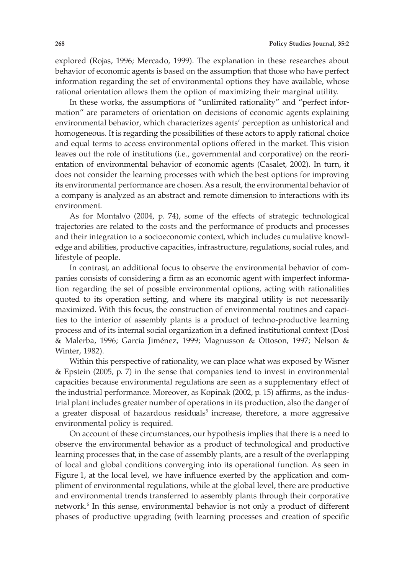explored (Rojas, 1996; Mercado, 1999). The explanation in these researches about behavior of economic agents is based on the assumption that those who have perfect information regarding the set of environmental options they have available, whose rational orientation allows them the option of maximizing their marginal utility.

In these works, the assumptions of "unlimited rationality" and "perfect information" are parameters of orientation on decisions of economic agents explaining environmental behavior, which characterizes agents' perception as unhistorical and homogeneous. It is regarding the possibilities of these actors to apply rational choice and equal terms to access environmental options offered in the market. This vision leaves out the role of institutions (i.e., governmental and corporative) on the reorientation of environmental behavior of economic agents (Casalet, 2002). In turn, it does not consider the learning processes with which the best options for improving its environmental performance are chosen. As a result, the environmental behavior of a company is analyzed as an abstract and remote dimension to interactions with its environment.

As for Montalvo (2004, p. 74), some of the effects of strategic technological trajectories are related to the costs and the performance of products and processes and their integration to a socioeconomic context, which includes cumulative knowledge and abilities, productive capacities, infrastructure, regulations, social rules, and lifestyle of people.

In contrast, an additional focus to observe the environmental behavior of companies consists of considering a firm as an economic agent with imperfect information regarding the set of possible environmental options, acting with rationalities quoted to its operation setting, and where its marginal utility is not necessarily maximized. With this focus, the construction of environmental routines and capacities to the interior of assembly plants is a product of techno-productive learning process and of its internal social organization in a defined institutional context (Dosi & Malerba, 1996; García Jiménez, 1999; Magnusson & Ottoson, 1997; Nelson & Winter, 1982).

Within this perspective of rationality, we can place what was exposed by Wisner & Epstein (2005, p. 7) in the sense that companies tend to invest in environmental capacities because environmental regulations are seen as a supplementary effect of the industrial performance. Moreover, as Kopinak (2002, p. 15) affirms, as the industrial plant includes greater number of operations in its production, also the danger of a greater disposal of hazardous residuals<sup>5</sup> increase, therefore, a more aggressive environmental policy is required.

On account of these circumstances, our hypothesis implies that there is a need to observe the environmental behavior as a product of technological and productive learning processes that, in the case of assembly plants, are a result of the overlapping of local and global conditions converging into its operational function. As seen in Figure 1, at the local level, we have influence exerted by the application and compliment of environmental regulations, while at the global level, there are productive and environmental trends transferred to assembly plants through their corporative network.6 In this sense, environmental behavior is not only a product of different phases of productive upgrading (with learning processes and creation of specific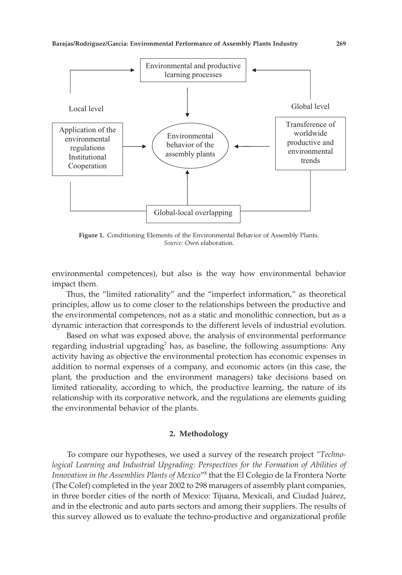

**Figure 1.** Conditioning Elements of the Environmental Behavior of Assembly Plants. *Source:* Own elaboration.

environmental competences), but also is the way how environmental behavior impact them.

Thus, the "limited rationality" and the "imperfect information," as theoretical principles, allow us to come closer to the relationships between the productive and the environmental competences, not as a static and monolithic connection, but as a dynamic interaction that corresponds to the different levels of industrial evolution.

Based on what was exposed above, the analysis of environmental performance regarding industrial upgrading<sup>7</sup> has, as baseline, the following assumptions: Any activity having as objective the environmental protection has economic expenses in addition to normal expenses of a company, and economic actors (in this case, the plant, the production and the environment managers) take decisions based on limited rationality, according to which, the productive learning, the nature of its relationship with its corporative network, and the regulations are elements guiding the environmental behavior of the plants.

#### **2. Methodology**

To compare our hypotheses, we used a survey of the research project *"Technological Learning and Industrial Upgrading: Perspectives for the Formation of Abilities of Innovation in the Assemblies Plants of Mexico*"8 that the El Colegio de la Frontera Norte (The Colef) completed in the year 2002 to 298 managers of assembly plant companies, in three border cities of the north of Mexico: Tijuana, Mexicali, and Ciudad Juárez, and in the electronic and auto parts sectors and among their suppliers. The results of this survey allowed us to evaluate the techno-productive and organizational profile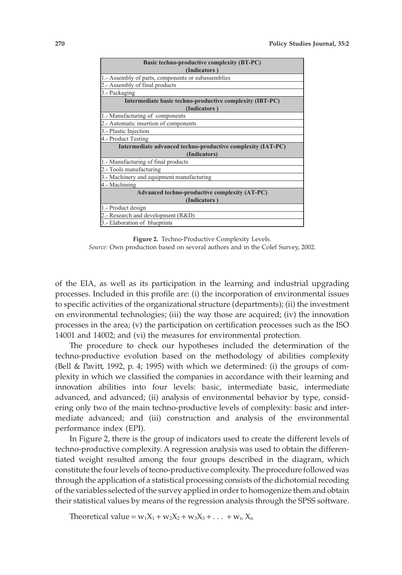| <b>Basic techno-productive complexity (BT-PC)</b>           |
|-------------------------------------------------------------|
| (Indicators)                                                |
| 1.- Assembly of parts, components or subassemblies          |
| 2.- Assembly of final products                              |
| 3.- Packaging                                               |
| Intermediate basic techno-productive complexity (IBT-PC)    |
| (Indicators)                                                |
| 1.- Manufacturing of components                             |
| 2.- Automatic insertion of components                       |
| 3.- Plastic Injection                                       |
| 4.- Product Testing                                         |
| Intermediate advanced techno-productive complexity (IAT-PC) |
| (Indicators)                                                |
| 1.- Manufacturing of final products                         |
| 2.- Tools manufacturing                                     |
| 3.- Machinery and equipment manufacturing                   |
| 4.- Machining                                               |
| Advanced techno-productive complexity (AT-PC)               |
| (Indicators)                                                |
| 1.- Product design                                          |
| 2.- Research and development (R&D)                          |
| 3.- Elaboration of blueprints                               |

**Figure 2.** Techno-Productive Complexity Levels. *Source:* Own production based on several authors and in the Colef Survey, 2002.

of the EIA, as well as its participation in the learning and industrial upgrading processes. Included in this profile are: (i) the incorporation of environmental issues to specific activities of the organizational structure (departments); (ii) the investment on environmental technologies; (iii) the way those are acquired; (iv) the innovation processes in the area; (v) the participation on certification processes such as the ISO 14001 and 14002; and (vi) the measures for environmental protection.

The procedure to check our hypotheses included the determination of the techno-productive evolution based on the methodology of abilities complexity (Bell & Pavitt, 1992, p. 4; 1995) with which we determined: (i) the groups of complexity in which we classified the companies in accordance with their learning and innovation abilities into four levels: basic, intermediate basic, intermediate advanced, and advanced; (ii) analysis of environmental behavior by type, considering only two of the main techno-productive levels of complexity: basic and intermediate advanced; and (iii) construction and analysis of the environmental performance index (EPI).

In Figure 2, there is the group of indicators used to create the different levels of techno-productive complexity. A regression analysis was used to obtain the differentiated weight resulted among the four groups described in the diagram, which constitute the four levels of tecno-productive complexity. The procedure followed was through the application of a statistical processing consists of the dichotomial recoding of the variables selected of the survey applied in order to homogenize them and obtain their statistical values by means of the regression analysis through the SPSS software.

Theoretical value =  $w_1X_1 + w_2X_2 + w_3X_3 + ... + w_n X_n$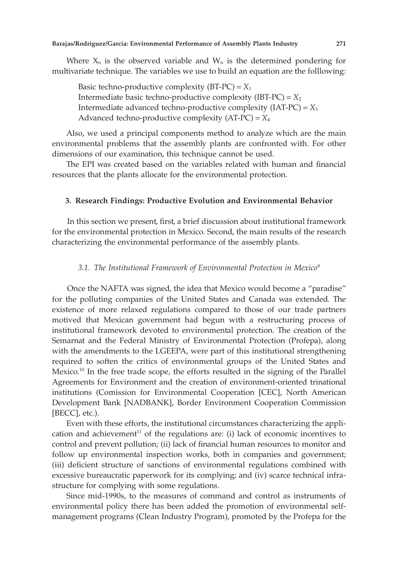Where  $X_n$  is the observed variable and  $W_n$  is the determined pondering for multivariate technique. The variables we use to build an equation are the folllowing:

Basic techno-productive complexity  $(BT-PC) = X_1$ Intermediate basic techno-productive complexity  $(IBT-PC) = X_2$ Intermediate advanced techno-productive complexity (IAT-PC) = *X*<sup>3</sup> Advanced techno-productive complexity (AT-PC) = *X*<sup>4</sup>

Also, we used a principal components method to analyze which are the main environmental problems that the assembly plants are confronted with. For other dimensions of our examination, this technique cannot be used.

The EPI was created based on the variables related with human and financial resources that the plants allocate for the environmental protection.

## **3. Research Findings: Productive Evolution and Environmental Behavior**

In this section we present, first, a brief discussion about institutional framework for the environmental protection in Mexico. Second, the main results of the research characterizing the environmental performance of the assembly plants.

## *3.1. The Institutional Framework of Environmental Protection in Mexico*<sup>9</sup>

Once the NAFTA was signed, the idea that Mexico would become a "paradise" for the polluting companies of the United States and Canada was extended. The existence of more relaxed regulations compared to those of our trade partners motived that Mexican government had begun with a restructuring process of institutional framework devoted to environmental protection. The creation of the Semarnat and the Federal Ministry of Environmental Protection (Profepa), along with the amendments to the LGEEPA, were part of this institutional strengthening required to soften the critics of environmental groups of the United States and Mexico.<sup>10</sup> In the free trade scope, the efforts resulted in the signing of the Parallel Agreements for Environment and the creation of environment-oriented trinational institutions (Comission for Environmental Cooperation [CEC], North American Development Bank [NADBANK], Border Environment Cooperation Commission [BECC], etc.).

Even with these efforts, the institutional circumstances characterizing the application and achievement $11$  of the regulations are: (i) lack of economic incentives to control and prevent pollution; (ii) lack of financial human resources to monitor and follow up environmental inspection works, both in companies and government; (iii) deficient structure of sanctions of environmental regulations combined with excessive bureaucratic paperwork for its complying; and (iv) scarce technical infrastructure for complying with some regulations.

Since mid-1990s, to the measures of command and control as instruments of environmental policy there has been added the promotion of environmental selfmanagement programs (Clean Industry Program), promoted by the Profepa for the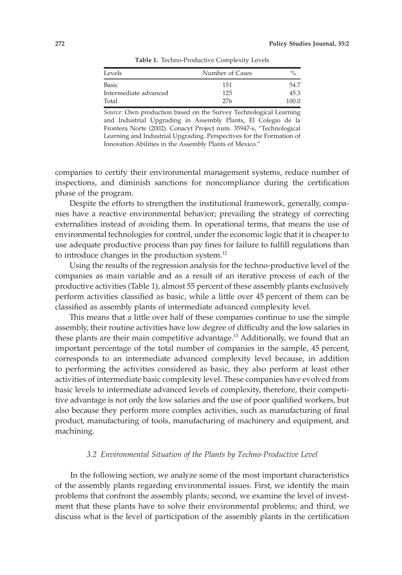| Levels                | Number of Cases | $\frac{0}{0}$ |
|-----------------------|-----------------|---------------|
| Basic                 | 151             | 54.7          |
| Intermediate advanced | 125             | 45.3          |
| Total                 | 276             | 100.0         |

**Table 1.** Techno-Productive Complexity Levels

*Source:* Own production based on the Survey Technological Learning and Industrial Upgrading in Assembly Plants, El Colegio de la Frontera Norte (2002). Conacyt Project num. 35947-s, "Technological Learning and Industrial Upgrading. Perspectives for the Formation of Innovation Abilities in the Assembly Plants of Mexico."

companies to certify their environmental management systems, reduce number of inspections, and diminish sanctions for noncompliance during the certification phase of the program.

Despite the efforts to strengthen the institutional framework, generally, companies have a reactive environmental behavior; prevailing the strategy of correcting externalities instead of avoiding them. In operational terms, that means the use of environmental technologies for control, under the economic logic that it is cheaper to use adequate productive process than pay fines for failure to fulfill regulations than to introduce changes in the production system.12

Using the results of the regression analysis for the techno-productive level of the companies as main variable and as a result of an iterative process of each of the productive activities (Table 1), almost 55 percent of these assembly plants exclusively perform activities classified as basic, while a little over 45 percent of them can be classified as assembly plants of intermediate advanced complexity level.

This means that a little over half of these companies continue to use the simple assembly, their routine activities have low degree of difficulty and the low salaries in these plants are their main competitive advantage.<sup>13</sup> Additionally, we found that an important percentage of the total number of companies in the sample, 45 percent, corresponds to an intermediate advanced complexity level because, in addition to performing the activities considered as basic, they also perform at least other activities of intermediate basic complexity level. These companies have evolved from basic levels to intermediate advanced levels of complexity, therefore, their competitive advantage is not only the low salaries and the use of poor qualified workers, but also because they perform more complex activities, such as manufacturing of final product, manufacturing of tools, manufacturing of machinery and equipment, and machining.

## *3.2 Environmental Situation of the Plants by Techno-Productive Level*

In the following section, we analyze some of the most important characteristics of the assembly plants regarding environmental issues. First, we identify the main problems that confront the assembly plants; second, we examine the level of investment that these plants have to solve their environmental problems; and third, we discuss what is the level of participation of the assembly plants in the certification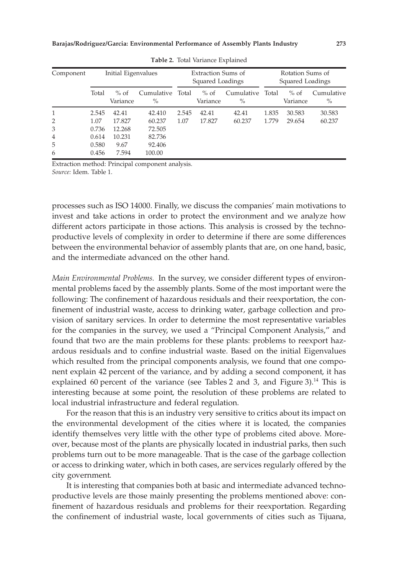| Component      | Initial Eigenvalues |                    |                    | Extraction Sums of<br>Squared Loadings |                    |                    | Rotation Sums of<br>Squared Loadings |                    |                    |
|----------------|---------------------|--------------------|--------------------|----------------------------------------|--------------------|--------------------|--------------------------------------|--------------------|--------------------|
|                | Total               | $%$ of<br>Variance | Cumulative<br>$\%$ | Total                                  | $%$ of<br>Variance | Cumulative<br>$\%$ | Total                                | $%$ of<br>Variance | Cumulative<br>$\%$ |
| 1              | 2.545               | 42.41              | 42.410             | 2.545                                  | 42.41              | 42.41              | 1.835                                | 30.583             | 30.583             |
| 2              | 1.07                | 17.827             | 60.237             | 1.07                                   | 17.827             | 60.237             | 1.779                                | 29.654             | 60.237             |
| 3              | 0.736               | 12.268             | 72.505             |                                        |                    |                    |                                      |                    |                    |
| $\overline{4}$ | 0.614               | 10.231             | 82.736             |                                        |                    |                    |                                      |                    |                    |
| 5              | 0.580               | 9.67               | 92.406             |                                        |                    |                    |                                      |                    |                    |
| 6              | 0.456               | 7.594              | 100.00             |                                        |                    |                    |                                      |                    |                    |

**Table 2.** Total Variance Explained

Extraction method: Principal component analysis. *Source:* Idem. Table 1.

processes such as ISO 14000. Finally, we discuss the companies' main motivations to invest and take actions in order to protect the environment and we analyze how different actors participate in those actions. This analysis is crossed by the technoproductive levels of complexity in order to determine if there are some differences between the environmental behavior of assembly plants that are, on one hand, basic, and the intermediate advanced on the other hand.

*Main Environmental Problems.* In the survey, we consider different types of environmental problems faced by the assembly plants. Some of the most important were the following: The confinement of hazardous residuals and their reexportation, the confinement of industrial waste, access to drinking water, garbage collection and provision of sanitary services. In order to determine the most representative variables for the companies in the survey, we used a "Principal Component Analysis," and found that two are the main problems for these plants: problems to reexport hazardous residuals and to confine industrial waste. Based on the initial Eigenvalues which resulted from the principal components analysis, we found that one component explain 42 percent of the variance, and by adding a second component, it has explained 60 percent of the variance (see Tables 2 and 3, and Figure 3).<sup>14</sup> This is interesting because at some point, the resolution of these problems are related to local industrial infrastructure and federal regulation.

For the reason that this is an industry very sensitive to critics about its impact on the environmental development of the cities where it is located, the companies identify themselves very little with the other type of problems cited above. Moreover, because most of the plants are physically located in industrial parks, then such problems turn out to be more manageable. That is the case of the garbage collection or access to drinking water, which in both cases, are services regularly offered by the city government.

It is interesting that companies both at basic and intermediate advanced technoproductive levels are those mainly presenting the problems mentioned above: confinement of hazardous residuals and problems for their reexportation. Regarding the confinement of industrial waste, local governments of cities such as Tijuana,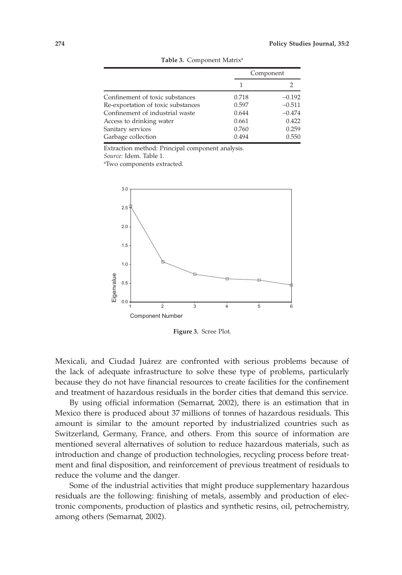|                                    | Component |          |  |
|------------------------------------|-----------|----------|--|
|                                    |           | 2        |  |
| Confinement of toxic substances    | 0.718     | $-0.192$ |  |
| Re-exportation of toxic substances | 0.597     | $-0.511$ |  |
| Confinement of industrial waste    | 0.644     | $-0.474$ |  |
| Access to drinking water           | 0.661     | 0.422    |  |
| Sanitary services                  | 0.760     | 0.259    |  |
| Garbage collection                 | 0.494     | 0.550    |  |

Table 3. Component Matrix<sup>a</sup>

Extraction method: Principal component analysis.

*Source:* Idem. Table 1.

a Two components extracted.



**Figure 3.** Scree Plot.

Mexicali, and Ciudad Juárez are confronted with serious problems because of the lack of adequate infrastructure to solve these type of problems, particularly because they do not have financial resources to create facilities for the confinement and treatment of hazardous residuals in the border cities that demand this service.

By using official information (Semarnat, 2002), there is an estimation that in Mexico there is produced about 37 millions of tonnes of hazardous residuals. This amount is similar to the amount reported by industrialized countries such as Switzerland, Germany, France, and others. From this source of information are mentioned several alternatives of solution to reduce hazardous materials, such as introduction and change of production technologies, recycling process before treatment and final disposition, and reinforcement of previous treatment of residuals to reduce the volume and the danger.

Some of the industrial activities that might produce supplementary hazardous residuals are the following: finishing of metals, assembly and production of electronic components, production of plastics and synthetic resins, oil, petrochemistry, among others (Semarnat, 2002).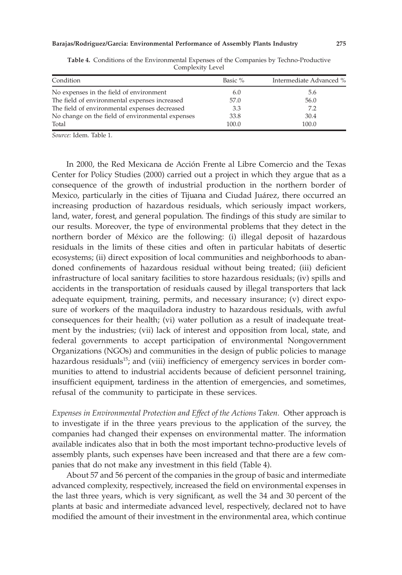#### **Barajas/Rodriguez/Garcia: Environmental Performance of Assembly Plants Industry 275**

| Condition                                        | Basic $%$ | Intermediate Advanced % |
|--------------------------------------------------|-----------|-------------------------|
| No expenses in the field of environment          | 6.0       | 5.6                     |
| The field of environmental expenses increased    | 57.0      | 56.0                    |
| The field of environmental expenses decreased    | 3.3       | 7.2                     |
| No change on the field of environmental expenses | 33.8      | 30.4                    |
| Total                                            | 100.0     | 100.0                   |

|  | <b>Table 4.</b> Conditions of the Environmental Expenses of the Companies by Techno-Productive |                  |  |  |  |
|--|------------------------------------------------------------------------------------------------|------------------|--|--|--|
|  |                                                                                                | Complexity Level |  |  |  |

*Source:* Idem. Table 1.

In 2000, the Red Mexicana de Acción Frente al Libre Comercio and the Texas Center for Policy Studies (2000) carried out a project in which they argue that as a consequence of the growth of industrial production in the northern border of Mexico, particularly in the cities of Tijuana and Ciudad Juárez, there occurred an increasing production of hazardous residuals, which seriously impact workers, land, water, forest, and general population. The findings of this study are similar to our results. Moreover, the type of environmental problems that they detect in the northern border of México are the following: (i) illegal deposit of hazardous residuals in the limits of these cities and often in particular habitats of desertic ecosystems; (ii) direct exposition of local communities and neighborhoods to abandoned confinements of hazardous residual without being treated; (iii) deficient infrastructure of local sanitary facilities to store hazardous residuals; (iv) spills and accidents in the transportation of residuals caused by illegal transporters that lack adequate equipment, training, permits, and necessary insurance; (v) direct exposure of workers of the maquiladora industry to hazardous residuals, with awful consequences for their health; (vi) water pollution as a result of inadequate treatment by the industries; (vii) lack of interest and opposition from local, state, and federal governments to accept participation of environmental Nongovernment Organizations (NGOs) and communities in the design of public policies to manage hazardous residuals<sup>15</sup>; and (viii) inefficiency of emergency services in border communities to attend to industrial accidents because of deficient personnel training, insufficient equipment, tardiness in the attention of emergencies, and sometimes, refusal of the community to participate in these services.

*Expenses in Environmental Protection and Effect of the Actions Taken.* Other approach is to investigate if in the three years previous to the application of the survey, the companies had changed their expenses on environmental matter. The information available indicates also that in both the most important techno-productive levels of assembly plants, such expenses have been increased and that there are a few companies that do not make any investment in this field (Table 4).

About 57 and 56 percent of the companies in the group of basic and intermediate advanced complexity, respectively, increased the field on environmental expenses in the last three years, which is very significant, as well the 34 and 30 percent of the plants at basic and intermediate advanced level, respectively, declared not to have modified the amount of their investment in the environmental area, which continue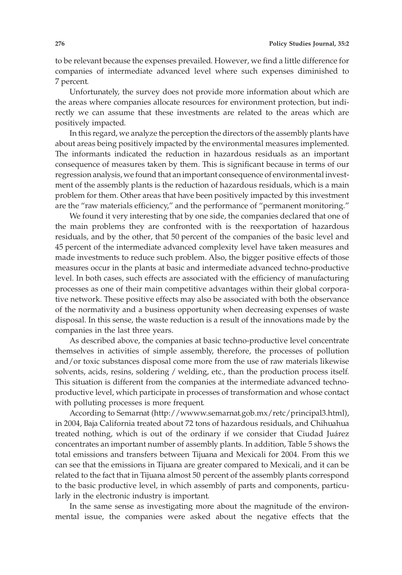to be relevant because the expenses prevailed. However, we find a little difference for companies of intermediate advanced level where such expenses diminished to 7 percent.

Unfortunately, the survey does not provide more information about which are the areas where companies allocate resources for environment protection, but indirectly we can assume that these investments are related to the areas which are positively impacted.

In this regard, we analyze the perception the directors of the assembly plants have about areas being positively impacted by the environmental measures implemented. The informants indicated the reduction in hazardous residuals as an important consequence of measures taken by them. This is significant because in terms of our regression analysis, we found that an important consequence of environmental investment of the assembly plants is the reduction of hazardous residuals, which is a main problem for them. Other areas that have been positively impacted by this investment are the "raw materials efficiency," and the performance of "permanent monitoring."

We found it very interesting that by one side, the companies declared that one of the main problems they are confronted with is the reexportation of hazardous residuals, and by the other, that 50 percent of the companies of the basic level and 45 percent of the intermediate advanced complexity level have taken measures and made investments to reduce such problem. Also, the bigger positive effects of those measures occur in the plants at basic and intermediate advanced techno-productive level. In both cases, such effects are associated with the efficiency of manufacturing processes as one of their main competitive advantages within their global corporative network. These positive effects may also be associated with both the observance of the normativity and a business opportunity when decreasing expenses of waste disposal. In this sense, the waste reduction is a result of the innovations made by the companies in the last three years.

As described above, the companies at basic techno-productive level concentrate themselves in activities of simple assembly, therefore, the processes of pollution and/or toxic substances disposal come more from the use of raw materials likewise solvents, acids, resins, soldering / welding, etc., than the production process itself. This situation is different from the companies at the intermediate advanced technoproductive level, which participate in processes of transformation and whose contact with polluting processes is more frequent.

According to Semarnat [\(http://wwww.semarnat.gob.mx/retc/principal3.htm](http://wwww.semarnat.gob.mx/retc/principal3.html)l), in 2004, Baja California treated about 72 tons of hazardous residuals, and Chihuahua treated nothing, which is out of the ordinary if we consider that Ciudad Juárez concentrates an important number of assembly plants. In addition, Table 5 shows the total emissions and transfers between Tijuana and Mexicali for 2004. From this we can see that the emissions in Tijuana are greater compared to Mexicali, and it can be related to the fact that in Tijuana almost 50 percent of the assembly plants correspond to the basic productive level, in which assembly of parts and components, particularly in the electronic industry is important.

In the same sense as investigating more about the magnitude of the environmental issue, the companies were asked about the negative effects that the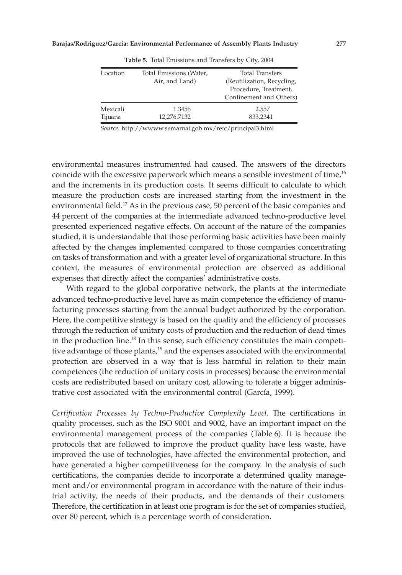| Location            | Total Emissions (Water,<br>Air, and Land) | <b>Total Transfers</b><br>(Reutilization, Recycling,<br>Procedure, Treatment,<br>Confinement and Others) |
|---------------------|-------------------------------------------|----------------------------------------------------------------------------------------------------------|
| Mexicali<br>Tijuana | 1.3456<br>12,276.7132                     | 2.557<br>833.2341                                                                                        |

**Table 5.** Total Emissions and Transfers by City, 2004

*Source:* <http://wwww.semarnat.gob.mx/retc/principal3.html>

environmental measures instrumented had caused. The answers of the directors coincide with the excessive paperwork which means a sensible investment of time,<sup>16</sup> and the increments in its production costs. It seems difficult to calculate to which measure the production costs are increased starting from the investment in the environmental field.<sup>17</sup> As in the previous case, 50 percent of the basic companies and 44 percent of the companies at the intermediate advanced techno-productive level presented experienced negative effects. On account of the nature of the companies studied, it is understandable that those performing basic activities have been mainly affected by the changes implemented compared to those companies concentrating on tasks of transformation and with a greater level of organizational structure. In this context, the measures of environmental protection are observed as additional expenses that directly affect the companies' administrative costs.

With regard to the global corporative network, the plants at the intermediate advanced techno-productive level have as main competence the efficiency of manufacturing processes starting from the annual budget authorized by the corporation. Here, the competitive strategy is based on the quality and the efficiency of processes through the reduction of unitary costs of production and the reduction of dead times in the production line.18 In this sense, such efficiency constitutes the main competitive advantage of those plants, $19$  and the expenses associated with the environmental protection are observed in a way that is less harmful in relation to their main competences (the reduction of unitary costs in processes) because the environmental costs are redistributed based on unitary cost, allowing to tolerate a bigger administrative cost associated with the environmental control (García, 1999).

*Certification Processes by Techno-Productive Complexity Level.* The certifications in quality processes, such as the ISO 9001 and 9002, have an important impact on the environmental management process of the companies (Table 6). It is because the protocols that are followed to improve the product quality have less waste, have improved the use of technologies, have affected the environmental protection, and have generated a higher competitiveness for the company. In the analysis of such certifications, the companies decide to incorporate a determined quality management and/or environmental program in accordance with the nature of their industrial activity, the needs of their products, and the demands of their customers. Therefore, the certification in at least one program is for the set of companies studied, over 80 percent, which is a percentage worth of consideration.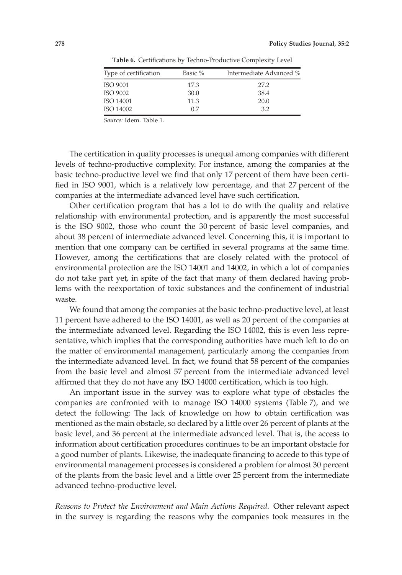| Type of certification | Basic % | Intermediate Advanced % |
|-----------------------|---------|-------------------------|
| ISO 9001              | 17.3    | 27.2                    |
| ISO 9002              | 30.0    | 38.4                    |
| ISO 14001             | 11.3    | 20.0                    |
| ISO 14002             | 0.7     | 32                      |

**Table 6.** Certifications by Techno-Productive Complexity Level

*Source:* Idem. Table 1.

The certification in quality processes is unequal among companies with different levels of techno-productive complexity. For instance, among the companies at the basic techno-productive level we find that only 17 percent of them have been certified in ISO 9001, which is a relatively low percentage, and that 27 percent of the companies at the intermediate advanced level have such certification.

Other certification program that has a lot to do with the quality and relative relationship with environmental protection, and is apparently the most successful is the ISO 9002, those who count the 30 percent of basic level companies, and about 38 percent of intermediate advanced level. Concerning this, it is important to mention that one company can be certified in several programs at the same time. However, among the certifications that are closely related with the protocol of environmental protection are the ISO 14001 and 14002, in which a lot of companies do not take part yet, in spite of the fact that many of them declared having problems with the reexportation of toxic substances and the confinement of industrial waste.

We found that among the companies at the basic techno-productive level, at least 11 percent have adhered to the ISO 14001, as well as 20 percent of the companies at the intermediate advanced level. Regarding the ISO 14002, this is even less representative, which implies that the corresponding authorities have much left to do on the matter of environmental management, particularly among the companies from the intermediate advanced level. In fact, we found that 58 percent of the companies from the basic level and almost 57 percent from the intermediate advanced level affirmed that they do not have any ISO 14000 certification, which is too high.

An important issue in the survey was to explore what type of obstacles the companies are confronted with to manage ISO 14000 systems (Table 7), and we detect the following: The lack of knowledge on how to obtain certification was mentioned as the main obstacle, so declared by a little over 26 percent of plants at the basic level, and 36 percent at the intermediate advanced level. That is, the access to information about certification procedures continues to be an important obstacle for a good number of plants. Likewise, the inadequate financing to accede to this type of environmental management processes is considered a problem for almost 30 percent of the plants from the basic level and a little over 25 percent from the intermediate advanced techno-productive level.

*Reasons to Protect the Environment and Main Actions Required.* Other relevant aspect in the survey is regarding the reasons why the companies took measures in the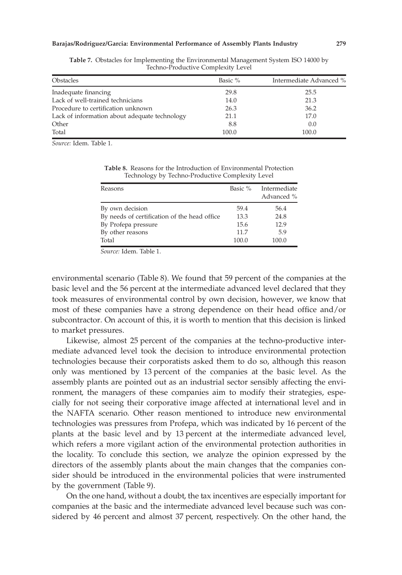#### **Barajas/Rodriguez/Garcia: Environmental Performance of Assembly Plants Industry 279**

| <b>Obstacles</b>                              | Basic $%$ | Intermediate Advanced % |
|-----------------------------------------------|-----------|-------------------------|
| Inadequate financing                          | 29.8      | 25.5                    |
| Lack of well-trained technicians              | 14.0      | 21.3                    |
| Procedure to certification unknown            | 26.3      | 36.2                    |
| Lack of information about adequate technology | 21.1      | 17.0                    |
| Other                                         | 8.8       | 0.0                     |
| Total                                         | 100.0     | 100.0                   |

**Table 7.** Obstacles for Implementing the Environmental Management System ISO 14000 by Techno-Productive Complexity Level

*Source:* Idem. Table 1.

**Table 8.** Reasons for the Introduction of Environmental Protection Technology by Techno-Productive Complexity Level

| Reasons                                      | Basic $%$ | Intermediate<br>Advanced % |
|----------------------------------------------|-----------|----------------------------|
| By own decision                              | 59.4      | 56.4                       |
| By needs of certification of the head office | 13.3      | 24.8                       |
| By Profepa pressure                          | 15.6      | 12.9                       |
| By other reasons                             | 11.7      | 5.9                        |
| Total                                        | 100.0     | 100.0                      |

*Source:* Idem. Table 1.

environmental scenario (Table 8). We found that 59 percent of the companies at the basic level and the 56 percent at the intermediate advanced level declared that they took measures of environmental control by own decision, however, we know that most of these companies have a strong dependence on their head office and/or subcontractor. On account of this, it is worth to mention that this decision is linked to market pressures.

Likewise, almost 25 percent of the companies at the techno-productive intermediate advanced level took the decision to introduce environmental protection technologies because their corporatists asked them to do so, although this reason only was mentioned by 13 percent of the companies at the basic level. As the assembly plants are pointed out as an industrial sector sensibly affecting the environment, the managers of these companies aim to modify their strategies, especially for not seeing their corporative image affected at international level and in the NAFTA scenario. Other reason mentioned to introduce new environmental technologies was pressures from Profepa, which was indicated by 16 percent of the plants at the basic level and by 13 percent at the intermediate advanced level, which refers a more vigilant action of the environmental protection authorities in the locality. To conclude this section, we analyze the opinion expressed by the directors of the assembly plants about the main changes that the companies consider should be introduced in the environmental policies that were instrumented by the government (Table 9).

On the one hand, without a doubt, the tax incentives are especially important for companies at the basic and the intermediate advanced level because such was considered by 46 percent and almost 37 percent, respectively. On the other hand, the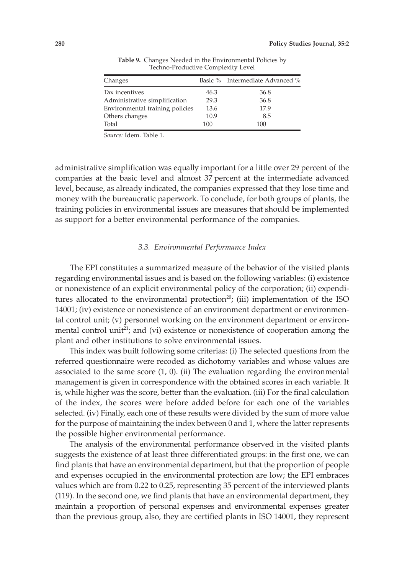| Changes                         |      | Basic % Intermediate Advanced % |
|---------------------------------|------|---------------------------------|
| Tax incentives                  | 46.3 | 36.8                            |
| Administrative simplification   | 29.3 | 36.8                            |
| Environmental training policies | 13.6 | 17.9                            |
| Others changes                  | 10.9 | 8.5                             |
| Total                           | 100  | 100                             |

**Table 9.** Changes Needed in the Environmental Policies by Techno-Productive Complexity Level

*Source:* Idem. Table 1.

administrative simplification was equally important for a little over 29 percent of the companies at the basic level and almost 37 percent at the intermediate advanced level, because, as already indicated, the companies expressed that they lose time and money with the bureaucratic paperwork. To conclude, for both groups of plants, the training policies in environmental issues are measures that should be implemented as support for a better environmental performance of the companies.

#### *3.3. Environmental Performance Index*

The EPI constitutes a summarized measure of the behavior of the visited plants regarding environmental issues and is based on the following variables: (i) existence or nonexistence of an explicit environmental policy of the corporation; (ii) expenditures allocated to the environmental protection<sup>20</sup>; (iii) implementation of the ISO 14001; (iv) existence or nonexistence of an environment department or environmental control unit; (v) personnel working on the environment department or environmental control unit<sup>21</sup>; and (vi) existence or nonexistence of cooperation among the plant and other institutions to solve environmental issues.

This index was built following some criterias: (i) The selected questions from the referred questionnaire were recoded as dichotomy variables and whose values are associated to the same score (1, 0). (ii) The evaluation regarding the environmental management is given in correspondence with the obtained scores in each variable. It is, while higher was the score, better than the evaluation. (iii) For the final calculation of the index, the scores were before added before for each one of the variables selected. (iv) Finally, each one of these results were divided by the sum of more value for the purpose of maintaining the index between 0 and 1, where the latter represents the possible higher environmental performance.

The analysis of the environmental performance observed in the visited plants suggests the existence of at least three differentiated groups: in the first one, we can find plants that have an environmental department, but that the proportion of people and expenses occupied in the environmental protection are low; the EPI embraces values which are from 0.22 to 0.25, representing 35 percent of the interviewed plants (119). In the second one, we find plants that have an environmental department, they maintain a proportion of personal expenses and environmental expenses greater than the previous group, also, they are certified plants in ISO 14001, they represent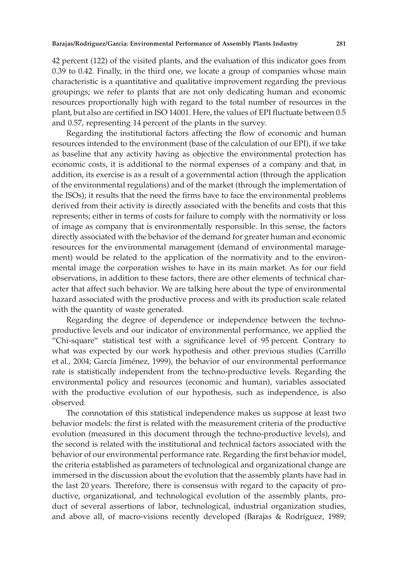42 percent (122) of the visited plants, and the evaluation of this indicator goes from 0.39 to 0.42. Finally, in the third one, we locate a group of companies whose main characteristic is a quantitative and qualitative improvement regarding the previous groupings; we refer to plants that are not only dedicating human and economic resources proportionally high with regard to the total number of resources in the plant, but also are certified in ISO 14001. Here, the values of EPI fluctuate between 0.5 and 0.57, representing 14 percent of the plants in the survey.

Regarding the institutional factors affecting the flow of economic and human resources intended to the environment (base of the calculation of our EPI), if we take as baseline that any activity having as objective the environmental protection has economic costs, it is additional to the normal expenses of a company and that, in addition, its exercise is as a result of a governmental action (through the application of the environmental regulations) and of the market (through the implementation of the ISOs); it results that the need the firms have to face the environmental problems derived from their activity is directly associated with the benefits and costs that this represents; either in terms of costs for failure to comply with the normativity or loss of image as company that is environmentally responsible. In this sense, the factors directly associated with the behavior of the demand for greater human and economic resources for the environmental management (demand of environmental management) would be related to the application of the normativity and to the environmental image the corporation wishes to have in its main market. As for our field observations, in addition to these factors, there are other elements of technical character that affect such behavior. We are talking here about the type of environmental hazard associated with the productive process and with its production scale related with the quantity of waste generated.

Regarding the degree of dependence or independence between the technoproductive levels and our indicator of environmental performance, we applied the "Chi-square" statistical test with a significance level of 95 percent. Contrary to what was expected by our work hypothesis and other previous studies (Carrillo et al., 2004; García Jiménez, 1999), the behavior of our environmental performance rate is statistically independent from the techno-productive levels. Regarding the environmental policy and resources (economic and human), variables associated with the productive evolution of our hypothesis, such as independence, is also observed.

The connotation of this statistical independence makes us suppose at least two behavior models: the first is related with the measurement criteria of the productive evolution (measured in this document through the techno-productive levels), and the second is related with the institutional and technical factors associated with the behavior of our environmental performance rate. Regarding the first behavior model, the criteria established as parameters of technological and organizational change are immersed in the discussion about the evolution that the assembly plants have had in the last 20 years. Therefore, there is consensus with regard to the capacity of productive, organizational, and technological evolution of the assembly plants, product of several assertions of labor, technological, industrial organization studies, and above all, of macro-visions recently developed (Barajas & Rodríguez, 1989;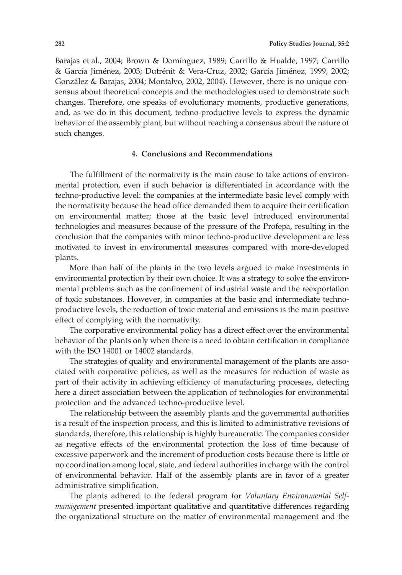Barajas et al., 2004; Brown & Domínguez, 1989; Carrillo & Hualde, 1997; Carrillo & García Jiménez, 2003; Dutrénit & Vera-Cruz, 2002; García Jiménez, 1999, 2002; González & Barajas, 2004; Montalvo, 2002, 2004). However, there is no unique consensus about theoretical concepts and the methodologies used to demonstrate such changes. Therefore, one speaks of evolutionary moments, productive generations, and, as we do in this document, techno-productive levels to express the dynamic behavior of the assembly plant, but without reaching a consensus about the nature of such changes.

## **4. Conclusions and Recommendations**

The fulfillment of the normativity is the main cause to take actions of environmental protection, even if such behavior is differentiated in accordance with the techno-productive level: the companies at the intermediate basic level comply with the normativity because the head office demanded them to acquire their certification on environmental matter; those at the basic level introduced environmental technologies and measures because of the pressure of the Profepa, resulting in the conclusion that the companies with minor techno-productive development are less motivated to invest in environmental measures compared with more-developed plants.

More than half of the plants in the two levels argued to make investments in environmental protection by their own choice. It was a strategy to solve the environmental problems such as the confinement of industrial waste and the reexportation of toxic substances. However, in companies at the basic and intermediate technoproductive levels, the reduction of toxic material and emissions is the main positive effect of complying with the normativity.

The corporative environmental policy has a direct effect over the environmental behavior of the plants only when there is a need to obtain certification in compliance with the ISO 14001 or 14002 standards.

The strategies of quality and environmental management of the plants are associated with corporative policies, as well as the measures for reduction of waste as part of their activity in achieving efficiency of manufacturing processes, detecting here a direct association between the application of technologies for environmental protection and the advanced techno-productive level.

The relationship between the assembly plants and the governmental authorities is a result of the inspection process, and this is limited to administrative revisions of standards, therefore, this relationship is highly bureaucratic. The companies consider as negative effects of the environmental protection the loss of time because of excessive paperwork and the increment of production costs because there is little or no coordination among local, state, and federal authorities in charge with the control of environmental behavior. Half of the assembly plants are in favor of a greater administrative simplification.

The plants adhered to the federal program for *Voluntary Environmental Selfmanagement* presented important qualitative and quantitative differences regarding the organizational structure on the matter of environmental management and the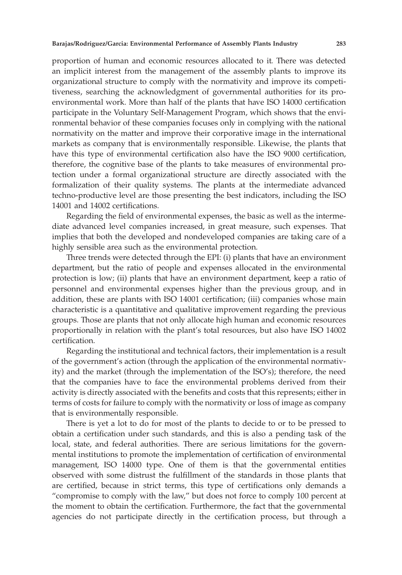proportion of human and economic resources allocated to it. There was detected an implicit interest from the management of the assembly plants to improve its organizational structure to comply with the normativity and improve its competitiveness, searching the acknowledgment of governmental authorities for its proenvironmental work. More than half of the plants that have ISO 14000 certification participate in the Voluntary Self-Management Program, which shows that the environmental behavior of these companies focuses only in complying with the national normativity on the matter and improve their corporative image in the international markets as company that is environmentally responsible. Likewise, the plants that have this type of environmental certification also have the ISO 9000 certification, therefore, the cognitive base of the plants to take measures of environmental protection under a formal organizational structure are directly associated with the formalization of their quality systems. The plants at the intermediate advanced techno-productive level are those presenting the best indicators, including the ISO 14001 and 14002 certifications.

Regarding the field of environmental expenses, the basic as well as the intermediate advanced level companies increased, in great measure, such expenses. That implies that both the developed and nondeveloped companies are taking care of a highly sensible area such as the environmental protection.

Three trends were detected through the EPI: (i) plants that have an environment department, but the ratio of people and expenses allocated in the environmental protection is low; (ii) plants that have an environment department, keep a ratio of personnel and environmental expenses higher than the previous group, and in addition, these are plants with ISO 14001 certification; (iii) companies whose main characteristic is a quantitative and qualitative improvement regarding the previous groups. Those are plants that not only allocate high human and economic resources proportionally in relation with the plant's total resources, but also have ISO 14002 certification.

Regarding the institutional and technical factors, their implementation is a result of the government's action (through the application of the environmental normativity) and the market (through the implementation of the ISO's); therefore, the need that the companies have to face the environmental problems derived from their activity is directly associated with the benefits and costs that this represents; either in terms of costs for failure to comply with the normativity or loss of image as company that is environmentally responsible.

There is yet a lot to do for most of the plants to decide to or to be pressed to obtain a certification under such standards, and this is also a pending task of the local, state, and federal authorities. There are serious limitations for the governmental institutions to promote the implementation of certification of environmental management, ISO 14000 type. One of them is that the governmental entities observed with some distrust the fulfillment of the standards in those plants that are certified, because in strict terms, this type of certifications only demands a "compromise to comply with the law," but does not force to comply 100 percent at the moment to obtain the certification. Furthermore, the fact that the governmental agencies do not participate directly in the certification process, but through a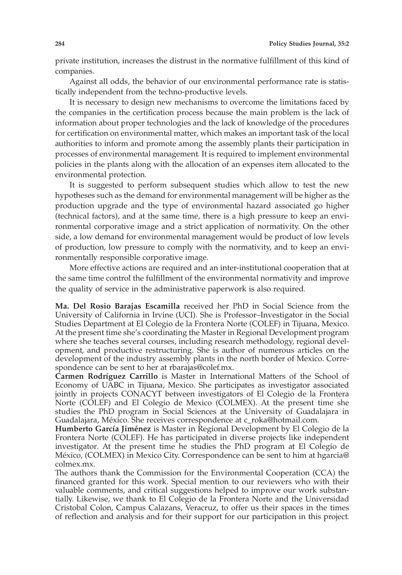private institution, increases the distrust in the normative fulfillment of this kind of companies.

Against all odds, the behavior of our environmental performance rate is statistically independent from the techno-productive levels.

It is necessary to design new mechanisms to overcome the limitations faced by the companies in the certification process because the main problem is the lack of information about proper technologies and the lack of knowledge of the procedures for certification on environmental matter, which makes an important task of the local authorities to inform and promote among the assembly plants their participation in processes of environmental management. It is required to implement environmental policies in the plants along with the allocation of an expenses item allocated to the environmental protection.

It is suggested to perform subsequent studies which allow to test the new hypotheses such as the demand for environmental management will be higher as the production upgrade and the type of environmental hazard associated go higher (technical factors), and at the same time, there is a high pressure to keep an environmental corporative image and a strict application of normativity. On the other side, a low demand for environmental management would be product of low levels of production, low pressure to comply with the normativity, and to keep an environmentally responsible corporative image.

More effective actions are required and an inter-institutional cooperation that at the same time control the fulfillment of the environmental normativity and improve the quality of service in the administrative paperwork is also required.

**Ma. Del Rosio Barajas Escamilla** received her PhD in Social Science from the University of California in Irvine (UCI). She is Professor–Investigator in the Social Studies Department at El Colegio de la Frontera Norte (COLEF) in Tijuana, Mexico. At the present time she's coordinating the Master in Regional Development program where she teaches several courses, including research methodology, regional development, and productive restructuring. She is author of numerous articles on the development of the industry assembly plants in the north border of Mexico. Correspondence can be sent to her at [rbarajas@colef.mx.](mailto:rbarajas@colef.mx)

**Carmen Rodríguez Carrillo** is Master in International Matters of the School of Economy of UABC in Tijuana, Mexico. She participates as investigator associated jointly in projects CONACYT between investigators of El Colegio de la Frontera Norte (COLEF) and El Colegio de Mexico (COLMEX). At the present time she studies the PhD program in Social Sciences at the University of Guadalajara in Guadalajara, México. She receives correspondence at c[\\_roka@hotmail.com.](mailto:roka@hotmail.com)

**Humberto García Jiménez** is Master in Regional Development by El Colegio de la Frontera Norte (COLEF). He has participated in diverse projects like independent investigator. At the present time he studies the PhD program at El Colegio de México, (COLMEX) in Mexico City. Correspondence can be sent to him at hgarcia@ colmex.mx.

The authors thank the Commission for the Environmental Cooperation (CCA) the financed granted for this work. Special mention to our reviewers who with their valuable comments, and critical suggestions helped to improve our work substantially. Likewise, we thank to El Colegio de la Frontera Norte and the Universidad Cristobal Colon, Campus Calazans, Veracruz, to offer us their spaces in the times of reflection and analysis and for their support for our participation in this project.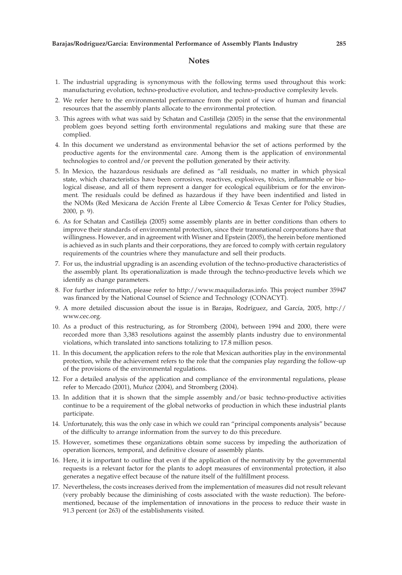#### **Notes**

- 1. The industrial upgrading is synonymous with the following terms used throughout this work: manufacturing evolution, techno-productive evolution, and techno-productive complexity levels.
- 2. We refer here to the environmental performance from the point of view of human and financial resources that the assembly plants allocate to the environmental protection.
- 3. This agrees with what was said by Schatan and Castilleja (2005) in the sense that the environmental problem goes beyond setting forth environmental regulations and making sure that these are complied.
- 4. In this document we understand as environmental behavior the set of actions performed by the productive agents for the environmental care. Among them is the application of environmental technologies to control and/or prevent the pollution generated by their activity.
- 5. In Mexico, the hazardous residuals are defined as "all residuals, no matter in which physical state, which characteristics have been corrosives, reactives, explosives, tóxics, inflammable or biological disease, and all of them represent a danger for ecological equilibrium or for the environment. The residuals could be defined as hazardous if they have been indentified and listed in the NOMs (Red Mexicana de Acción Frente al Libre Comercio & Texas Center for Policy Studies, 2000, p. 9).
- 6. As for Schatan and Castilleja (2005) some assembly plants are in better conditions than others to improve their standards of environmental protection, since their transnational corporations have that willingness. However, and in agreement with Wisner and Epstein (2005), the herein before mentioned is achieved as in such plants and their corporations, they are forced to comply with certain regulatory requirements of the countries where they manufacture and sell their products.
- 7. For us, the industrial upgrading is an ascending evolution of the techno-productive characteristics of the assembly plant. Its operationalization is made through the techno-productive levels which we identify as change parameters.
- 8. For further information, please refer to [http://www.maquiladoras.info.](http://www.maquiladoras.info) This project number 35947 was financed by the National Counsel of Science and Technology (CONACYT).
- 9. A more detailed discussion about the issue is in Barajas, Rodríguez, and García, 2005, [http://](http://www.cec.org) [www.cec.org.](http://www.cec.org)
- 10. As a product of this restructuring, as for Stromberg (2004), between 1994 and 2000, there were recorded more than 3,383 resolutions against the assembly plants industry due to environmental violations, which translated into sanctions totalizing to 17.8 million pesos.
- 11. In this document, the application refers to the role that Mexican authorities play in the environmental protection, while the achievement refers to the role that the companies play regarding the follow-up of the provisions of the environmental regulations.
- 12. For a detailed analysis of the application and compliance of the environmental regulations, please refer to Mercado (2001), Muñoz (2004), and Stromberg (2004).
- 13. In addition that it is shown that the simple assembly and/or basic techno-productive activities continue to be a requirement of the global networks of production in which these industrial plants participate.
- 14. Unfortunately, this was the only case in which we could ran "principal components analysis" because of the difficulty to arrange information from the survey to do this precedure.
- 15. However, sometimes these organizations obtain some success by impeding the authorization of operation licences, temporal, and definitive closure of assembly plants.
- 16. Here, it is important to outline that even if the application of the normativity by the governmental requests is a relevant factor for the plants to adopt measures of environmental protection, it also generates a negative effect because of the nature itself of the fulfillment process.
- 17. Nevertheless, the costs increases derived from the implementation of measures did not result relevant (very probably because the diminishing of costs associated with the waste reduction). The beforementioned, because of the implementation of innovations in the process to reduce their waste in 91.3 percent (or 263) of the establishments visited.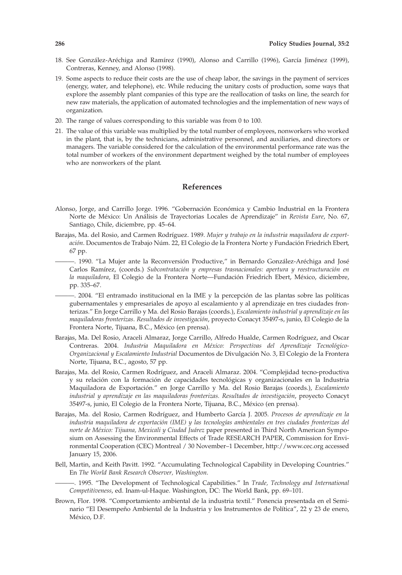- 18. See González-Aréchiga and Ramírez (1990), Alonso and Carrillo (1996), García Jiménez (1999), Contreras, Kenney, and Alonso (1998).
- 19. Some aspects to reduce their costs are the use of cheap labor, the savings in the payment of services (energy, water, and telephone), etc. While reducing the unitary costs of production, some ways that explore the assembly plant companies of this type are the reallocation of tasks on line, the search for new raw materials, the application of automated technologies and the implementation of new ways of organization.
- 20. The range of values corresponding to this variable was from 0 to 100.
- 21. The value of this variable was multiplied by the total number of employees, nonworkers who worked in the plant, that is, by the technicians, administrative personnel, and auxiliaries, and directors or managers. The variable considered for the calculation of the environmental performance rate was the total number of workers of the environment department weighed by the total number of employees who are nonworkers of the plant.

## **References**

- Alonso, Jorge, and Carrillo Jorge. 1996. "Gobernación Económica y Cambio Industrial en la Frontera Norte de México: Un Análisis de Trayectorias Locales de Aprendizaje" in *Revista Eure*, No. 67, Santiago, Chile, diciembre, pp. 45–64.
- Barajas, Ma. del Rosio, and Carmen Rodríguez. 1989. *Mujer y trabajo en la industria maquiladora de exportación*. Documentos de Trabajo Núm. 22, El Colegio de la Frontera Norte y Fundación Friedrich Ebert, 67 pp.
	- ———. 1990. "La Mujer ante la Reconversión Productive," in Bernardo González-Aréchiga and José Carlos Ramírez, (coords.) *Subcontratación y empresas trasnacionales: apertura y reestructuración en la maquiladora*, El Colegio de la Frontera Norte—Fundación Friedrich Ebert, México, diciembre, pp. 335–67.
	- ———. 2004. "El entramado institucional en la IME y la percepción de las plantas sobre las políticas gubernamentales y empresariales de apoyo al escalamiento y al aprendizaje en tres ciudades fronterizas." En Jorge Carrillo y Ma. del Rosio Barajas (coords.), *Escalamiento industrial y aprendizaje en las maquiladoras fronterizas*. *Resultados de investigación*, proyecto Conacyt 35497-s, junio, El Colegio de la Frontera Norte, Tijuana, B.C., México (en prensa).
- Barajas, Ma. Del Rosio, Araceli Almaraz, Jorge Carrillo, Alfredo Hualde, Carmen Rodríguez, and Oscar Contreras. 2004. *Industria Maquiladora en México: Perspectivas del Aprendizaje Tecnológico-Organizacional y Escalamiento Industrial* Documentos de Divulgación No. 3, El Colegio de la Frontera Norte, Tijuana, B.C., agosto, 57 pp.
- Barajas, Ma. del Rosio, Carmen Rodríguez, and Araceli Almaraz. 2004. "Complejidad tecno-productiva y su relación con la formación de capacidades tecnológicas y organizacionales en la Industria Maquiladora de Exportación." en Jorge Carrillo y Ma. del Rosio Barajas (coords.), *Escalamiento industrial y aprendizaje en las maquiladoras fronterizas. Resultados de investigación*, proyecto Conacyt 35497-s, junio, El Colegio de la Frontera Norte, Tijuana, B.C., México (en prensa).
- Barajas, Ma. del Rosio, Carmen Rodríguez, and Humberto García J. 2005. *Procesos de aprendizaje en la industria maquiladora de exportación (IME) y las tecnologías ambientales en tres ciudades fronterizas del norte de México: Tijuana, Mexicali y Ciudad Juárez* paper presented in Third North American Symposium on Assessing the Environmental Effects of Trade RESEARCH PAPER, Commission for Environmental Cooperation (CEC) Montreal / 30 November–1 December, [http://www.cec.org ac](http://www.cec.org)cessed January 15, 2006.
- Bell, Martin, and Keith Pavitt. 1992. "Accumulating Technological Capability in Developing Countries." En *The World Bank Research Observer, Washington*.
- ———. 1995. "The Development of Technological Capabilities." In *Trade, Technology and International Competitiveness*, ed. Inam-ul-Haque. Washington, DC: The World Bank, pp. 69–101.
- Brown, Flor. 1998. "Comportamiento ambiental de la industria textil." Ponencia presentada en el Seminario "El Desempeño Ambiental de la Industria y los Instrumentos de Política", 22 y 23 de enero, México, D.F.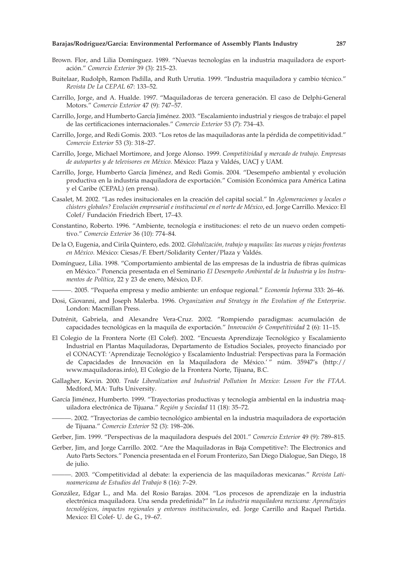#### **Barajas/Rodriguez/Garcia: Environmental Performance of Assembly Plants Industry 287**

- Brown. Flor, and Lilia Domínguez. 1989. "Nuevas tecnologías en la industria maquiladora de exportación." *Comercio Exterior* 39 (3): 215–23.
- Buitelaar, Rudolph, Ramon Padilla, and Ruth Urrutia. 1999. "Industria maquiladora y cambio técnico." *Revista De La CEPAL* 67: 133–52.
- Carrillo, Jorge, and A. Hualde. 1997. "Maquiladoras de tercera generación. El caso de Delphi-General Motors." *Comercio Exterior* 47 (9): 747–57.
- Carrillo, Jorge, and Humberto García Jiménez. 2003. "Escalamiento industrial y riesgos de trabajo: el papel de las certificaciones internacionales." *Comercio Exterior* 53 (7): 734–43.
- Carrillo, Jorge, and Redi Gomis. 2003. "Los retos de las maquiladoras ante la pérdida de competitividad." *Comercio Exterior* 53 (3): 318–27.
- Carrillo, Jorge, Michael Mortimore, and Jorge Alonso. 1999. *Competitividad y mercado de trabajo. Empresas de autopartes y de televisores en México*. México: Plaza y Valdés, UACJ y UAM.
- Carrillo, Jorge, Humberto García Jiménez, and Redi Gomis. 2004. "Desempeño ambiental y evolución productiva en la industria maquiladora de exportación." Comisión Económica para América Latina y el Caribe (CEPAL) (en prensa).
- Casalet, M. 2002. "Las redes insitucionales en la creación del capital social." In *Aglomeraciones y locales o clústers globales? Evolución empresarial e institucional en el norte de México*, ed. Jorge Carrillo. Mexico: El Colef/ Fundación Friedrich Ebert, 17–43.
- Constantino, Roberto. 1996. "Ambiente, tecnología e instituciones: el reto de un nuevo orden competitivo." *Comercio Exterior* 36 (10): 774–84.
- De la O, Eugenia, and Cirila Quintero, eds. 2002. *Globalización, trabajo y maquilas: las nuevas y viejas fronteras en México*. México: Ciesas/F. Ebert/Solidarity Center/Plaza y Valdés.
- Domínguez, Lilia. 1998. "Comportamiento ambiental de las empresas de la industria de fibras químicas en México." Ponencia presentada en el Seminario *El Desempeño Ambiental de la Industria y los Instrumentos de Política*, 22 y 23 de enero, México, D.F.

———. 2005. "Pequeña empresa y medio ambiente: un enfoque regional." *Economía Informa* 333: 26–46.

- Dosi, Giovanni, and Joseph Malerba. 1996. *Organization and Strategy in the Evolution of the Enterprise*. London: Macmillan Press.
- Dutrénit, Gabriela, and Alexandre Vera-Cruz. 2002. "Rompiendo paradigmas: acumulación de capacidades tecnológicas en la maquila de exportación." *Innovación & Competitividad* 2 (6): 11–15.
- El Colegio de la Frontera Norte (El Colef). 2002. "Encuesta Aprendizaje Tecnológico y Escalamiento Industrial en Plantas Maquiladoras, Departamento de Estudios Sociales, proyecto financiado por el CONACYT: 'Aprendizaje Tecnológico y Escalamiento Industrial: Perspectivas para la Formación de Capacidades de Innovación en la Maquiladora de México.' " núm. 35947's [\(http:/](http://www.maquiladoras.info)/ [www.maquiladoras.info](http://www.maquiladoras.info)), El Colegio de la Frontera Norte, Tijuana, B.C.
- Gallagher, Kevin. 2000. *Trade Liberalization and Industrial Pollution In Mexico: Lesson For the FTAA*. Medford, MA: Tufts University.
- García Jiménez, Humberto. 1999. "Trayectorias productivas y tecnología ambiental en la industria maquiladora electrónica de Tijuana." *Región y Sociedad* 11 (18): 35–72.

- Gerber, Jim. 1999. "Perspectivas de la maquiladora después del 2001." *Comercio Exterior* 49 (9): 789–815.
- Gerber, Jim, and Jorge Carrillo. 2002. "Are the Maquiladoras in Baja Competitive?: The Electronics and Auto Parts Sectors." Ponencia presentada en el Forum Fronterizo, San Diego Dialogue, San Diego, 18 de julio.
- ———. 2003. "Competitividad al debate: la experiencia de las maquiladoras mexicanas." *Revista Latinoamericana de Estudios del Trabajo* 8 (16): 7–29.
- González, Edgar L., and Ma. del Rosio Barajas. 2004. "Los procesos de aprendizaje en la industria electrónica maquiladora. Una senda predefinida?" In *La industria maquiladora mexicana: Aprendizajes tecnológicos, impactos regionales y entornos institucionales*, ed. Jorge Carrillo and Raquel Partida. Mexico: El Colef- U. de G., 19–67.

<sup>———. 2002. &</sup>quot;Trayectorias de cambio tecnológico ambiental en la industria maquiladora de exportación de Tijuana." *Comercio Exterior* 52 (3): 198–206.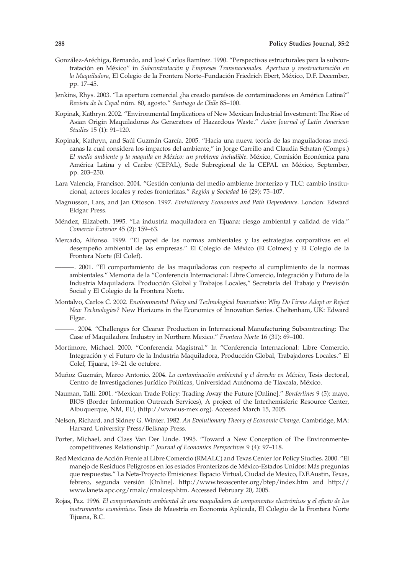- González-Aréchiga, Bernardo, and José Carlos Ramírez. 1990. "Perspectivas estructurales para la subcontratación en México" in *Subcontratación y Empresas Transnacionales. Apertura y reestructuración en la Maquiladora*, El Colegio de la Frontera Norte–Fundación Friedrich Ebert, México, D.F. December, pp. 17–45.
- Jenkins, Rhys. 2003. "La apertura comercial ¿ha creado paraísos de contaminadores en América Latina?" *Revista de la Cepal* núm. 80, agosto." *Santiago de Chile* 85–100.
- Kopinak, Kathryn. 2002. "Environmental Implications of New Mexican Industrial Investment: The Rise of Asian Origin Maquiladoras As Generators of Hazardous Waste." *Asian Journal of Latin American Studies* 15 (1): 91–120.
- Kopinak, Kathryn, and Saúl Guzmán García. 2005. "Hacia una nueva teoría de las maguiladoras mexicanas la cual considera los impactos del ambiente," in Jorge Carrillo and Claudia Schatan (Comps.) *El medio ambiente y la maquila en México: un problema ineludible*. México, Comisión Económica para América Latina y el Caribe (CEPAL), Sede Subregional de la CEPAL en México, September, pp. 203–250.
- Lara Valencia, Francisco. 2004. "Gestión conjunta del medio ambiente fronterizo y TLC: cambio institucional, actores locales y redes fronterizas." *Región y Sociedad* 16 (29): 75–107.
- Magnusson, Lars, and Jan Ottoson. 1997. *Evolutionary Economics and Path Dependence*. London: Edward Eldgar Press.
- Méndez, Elizabeth. 1995. "La industria maquiladora en Tijuana: riesgo ambiental y calidad de vida." *Comercio Exterior* 45 (2): 159–63.
- Mercado, Alfonso. 1999. "El papel de las normas ambientales y las estrategias corporativas en el desempeño ambiental de las empresas." El Colegio de México (El Colmex) y El Colegio de la Frontera Norte (El Colef).
	- ———. 2001. "El comportamiento de las maquiladoras con respecto al cumplimiento de la normas ambientales." Memoria de la "Conferencia Internacional: Libre Comercio, Integración y Futuro de la Industria Maquiladora. Producción Global y Trabajos Locales," Secretaría del Trabajo y Previsión Social y El Colegio de la Frontera Norte.
- Montalvo, Carlos C. 2002. *Environmental Policy and Technological Innovation: Why Do Firms Adopt or Reject New Technologies?* New Horizons in the Economics of Innovation Series. Cheltenham, UK: Edward Elgar.
	- ———. 2004. "Challenges for Cleaner Production in Internacional Manufacturing Subcontracting: The Case of Maquiladora Industry in Northern Mexico." *Frontera Norte* 16 (31): 69–100.
- Mortimore, Michael. 2000. "Conferencia Magistral." In "Conferencia Internacional: Libre Comercio, Integración y el Futuro de la Industria Maquiladora, Producción Global, Trabajadores Locales." El Colef, Tijuana, 19–21 de octubre.
- Muñoz Guzmán, Marco Antonio. 2004. *La contaminación ambiental y el derecho en México*, Tesis dectoral, Centro de Investigaciones Jurídico Políticas, Universidad Autónoma de Tlaxcala, México.
- Nauman, Talli. 2001. "Mexican Trade Policy: Trading Away the Future [Online]." *Borderlines* 9 (5): mayo, BIOS (Border Information Outreach Services), A project of the Interhemisferic Resource Center, Albuquerque, NM, EU, [\(http://www.us-mex.org\). A](http://www.us-mex.org)ccessed March 15, 2005.
- Nelson, Richard, and Sidney G. Winter. 1982. *An Evolutionary Theory of Economic Change*. Cambridge, MA: Harvard University Press/Belknap Press.
- Porter, Michael, and Class Van Der Linde. 1995. "Toward a New Conception of The Environmentecompetitivenes Relationship." *Journal of Economics Perspectives* 9 (4): 97–118.
- Red Mexicana de Acción Frente al Libre Comercio (RMALC) and Texas Center for Policy Studies. 2000. "El manejo de Residuos Peligrosos en los estados Fronterizos de México-Estados Unidos: Más preguntas que respuestas." La Neta-Proyecto Emisiones: Espacio Virtual, Ciudad de Mexico, D.F.Austin, Texas, febrero, segunda versión [Online]. [http://www.texascenter.org/btep/index.htm a](http://www.texascenter.org/btep/index.htm)nd [http://](http://www.laneta.apc.org/rmalc/rmalcesp.htm) [www.laneta.apc.org/rmalc/rmalcesp.htm.](http://www.laneta.apc.org/rmalc/rmalcesp.htm) Accessed February 20, 2005.
- Rojas, Paz. 1996. *El comportamiento ambiental de una maquiladora de componentes electrónicos y el efecto de los instrumentos económicos*. Tesis de Maestría en Economía Aplicada, El Colegio de la Frontera Norte Tijuana, B.C.